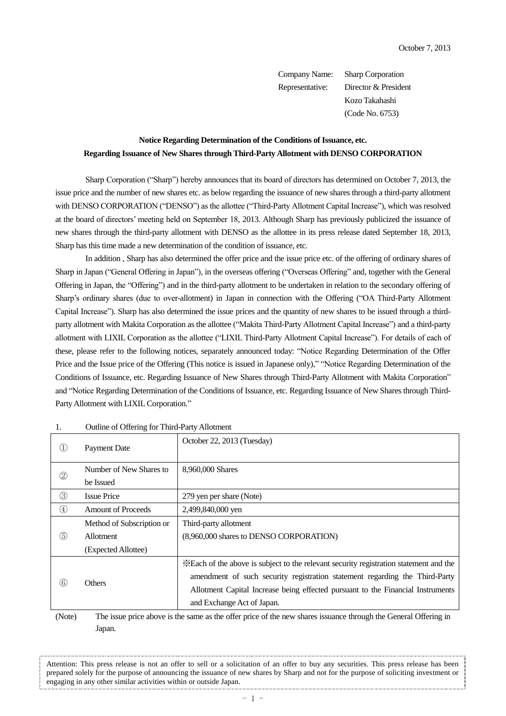Company Name: Sharp Corporation Representative: Director & President Kozo Takahashi (Code No. 6753)

## **Notice Regarding Determination of the Conditions of Issuance, etc. Regarding Issuance of New Shares through Third-Party Allotment with DENSO CORPORATION**

Sharp Corporation ("Sharp") hereby announces that its board of directors has determined on October 7, 2013, the issue price and the number of new shares etc. as below regarding the issuance of new shares through a third-party allotment with DENSO CORPORATION ("DENSO") as the allottee ("Third-Party Allotment Capital Increase"), which was resolved at the board of directors' meeting held on September 18, 2013. Although Sharp has previously publicized the issuance of new shares through the third-party allotment with DENSO as the allottee in its press release dated September 18, 2013, Sharp has this time made a new determination of the condition of issuance, etc.

In addition , Sharp has also determined the offer price and the issue price etc. of the offering of ordinary shares of Sharp in Japan ("General Offering in Japan"), in the overseas offering ("Overseas Offering" and, together with the General Offering in Japan, the "Offering") and in the third-party allotment to be undertaken in relation to the secondary offering of Sharp's ordinary shares (due to over-allotment) in Japan in connection with the Offering ("OA Third-Party Allotment Capital Increase"). Sharp has also determined the issue prices and the quantity of new shares to be issued through a thirdparty allotment with Makita Corporation as the allottee ("Makita Third-Party Allotment Capital Increase") and a third-party allotment with LIXIL Corporation as the allottee ("LIXIL Third-Party Allotment Capital Increase"). For details of each of these, please refer to the following notices, separately announced today: "Notice Regarding Determination of the Offer Price and the Issue price of the Offering (This notice is issued in Japanese only)," "Notice Regarding Determination of the Conditions of Issuance, etc. Regarding Issuance of New Shares through Third-Party Allotment with Makita Corporation" and "Notice Regarding Determination of the Conditions of Issuance, etc. Regarding Issuance of New Shares through Third-Party Allotment with LIXIL Corporation."

| Œ.            | <b>Payment Date</b>       | October 22, 2013 (Tuesday)                                                            |
|---------------|---------------------------|---------------------------------------------------------------------------------------|
|               | Number of New Shares to   | 8,960,000 Shares                                                                      |
| $^\copyright$ | be Issued                 |                                                                                       |
| $\circledS$   | <b>Issue Price</b>        | 279 yen per share (Note)                                                              |
| $\circled{4}$ | <b>Amount of Proceeds</b> | 2,499,840,000 yen                                                                     |
|               | Method of Subscription or | Third-party allotment                                                                 |
| (5)           | <b>Allotment</b>          | (8,960,000 shares to DENSO CORPORATION)                                               |
|               | (Expected Allottee)       |                                                                                       |
|               | <b>Others</b>             | *Each of the above is subject to the relevant security registration statement and the |
| 6             |                           | amendment of such security registration statement regarding the Third-Party           |
|               |                           | Allotment Capital Increase being effected pursuant to the Financial Instruments       |
|               |                           | and Exchange Act of Japan.                                                            |
|               |                           |                                                                                       |

| 1. | Outline of Offering for Third-Party Allotment |
|----|-----------------------------------------------|
|    |                                               |

(Note) The issue price above is the same as the offer price of the new shares issuance through the General Offering in Japan.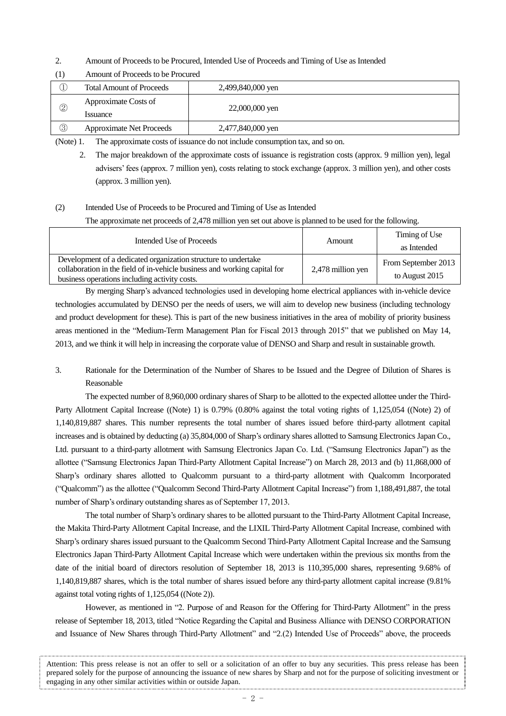- 2. Amount of Proceeds to be Procured, Intended Use of Proceeds and Timing of Use as Intended
- (1) Amount of Proceeds to be Procured

| I           | <b>Total Amount of Proceeds</b>  | 2,499,840,000 yen |  |
|-------------|----------------------------------|-------------------|--|
| 2           | Approximate Costs of<br>Issuance | 22,000,000 yen    |  |
| $\circledS$ | <b>Approximate Net Proceeds</b>  | 2,477,840,000 yen |  |

(Note) 1. The approximate costs of issuance do not include consumption tax, and so on.

## (2) Intended Use of Proceeds to be Procured and Timing of Use as Intended

The approximate net proceeds of 2,478 million yen set out above is planned to be used for the following.

| Intended Use of Proceeds                                                                                                                                                                     |                   | Timing of Use                         |
|----------------------------------------------------------------------------------------------------------------------------------------------------------------------------------------------|-------------------|---------------------------------------|
|                                                                                                                                                                                              | Amount            | as Intended                           |
| Development of a dedicated organization structure to undertake<br>collaboration in the field of in-vehicle business and working capital for<br>business operations including activity costs. | 2,478 million yen | From September 2013<br>to August 2015 |

By merging Sharp's advanced technologies used in developing home electrical appliances with in-vehicle device technologies accumulated by DENSO per the needs of users, we will aim to develop new business (including technology and product development for these). This is part of the new business initiatives in the area of mobility of priority business areas mentioned in the "Medium-Term Management Plan for Fiscal 2013 through 2015" that we published on May 14, 2013, and we think it will help in increasing the corporate value of DENSO and Sharp and result in sustainable growth.

3. Rationale for the Determination of the Number of Shares to be Issued and the Degree of Dilution of Shares is Reasonable

The expected number of 8,960,000 ordinary shares of Sharp to be allotted to the expected allottee under the Third-Party Allotment Capital Increase ((Note) 1) is 0.79% (0.80% against the total voting rights of 1,125,054 ((Note) 2) of 1,140,819,887 shares. This number represents the total number of shares issued before third-party allotment capital increases and is obtained by deducting (a) 35,804,000 of Sharp's ordinary shares allotted to Samsung Electronics Japan Co., Ltd. pursuant to a third-party allotment with Samsung Electronics Japan Co. Ltd. ("Samsung Electronics Japan") as the allottee ("Samsung Electronics Japan Third-Party Allotment Capital Increase") on March 28, 2013 and (b) 11,868,000 of Sharp's ordinary shares allotted to Qualcomm pursuant to a third-party allotment with Qualcomm Incorporated ("Qualcomm") as the allottee ("Qualcomm Second Third-Party Allotment Capital Increase") from 1,188,491,887, the total number of Sharp's ordinary outstanding shares as of September 17, 2013.

The total number of Sharp's ordinary shares to be allotted pursuant to the Third-Party Allotment Capital Increase, the Makita Third-Party Allotment Capital Increase, and the LIXIL Third-Party Allotment Capital Increase, combined with Sharp's ordinary shares issued pursuant to the Qualcomm Second Third-Party Allotment Capital Increase and the Samsung Electronics Japan Third-Party Allotment Capital Increase which were undertaken within the previous six months from the date of the initial board of directors resolution of September 18, 2013 is 110,395,000 shares, representing 9.68% of 1,140,819,887 shares, which is the total number of shares issued before any third-party allotment capital increase (9.81% against total voting rights of 1,125,054 ((Note 2)).

However, as mentioned in "2. Purpose of and Reason for the Offering for Third-Party Allotment" in the press release of September 18, 2013, titled "Notice Regarding the Capital and Business Alliance with DENSO CORPORATION and Issuance of New Shares through Third-Party Allotment" and "2.(2) Intended Use of Proceeds" above, the proceeds

<sup>2.</sup> The major breakdown of the approximate costs of issuance is registration costs (approx. 9 million yen), legal advisers' fees (approx. 7 million yen), costs relating to stock exchange (approx. 3 million yen), and other costs (approx. 3 million yen).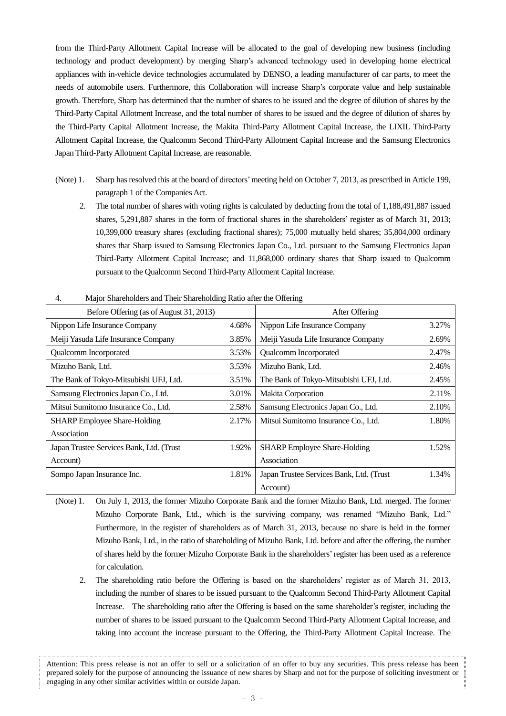from the Third-Party Allotment Capital Increase will be allocated to the goal of developing new business (including technology and product development) by merging Sharp's advanced technology used in developing home electrical appliances with in-vehicle device technologies accumulated by DENSO, a leading manufacturer of car parts, to meet the needs of automobile users. Furthermore, this Collaboration will increase Sharp's corporate value and help sustainable growth. Therefore, Sharp has determined that the number of shares to be issued and the degree of dilution of shares by the Third-Party Capital Allotment Increase, and the total number of shares to be issued and the degree of dilution of shares by the Third-Party Capital Allotment Increase, the Makita Third-Party Allotment Capital Increase, the LIXIL Third-Party Allotment Capital Increase, the Qualcomm Second Third-Party Allotment Capital Increase and the Samsung Electronics Japan Third-Party Allotment Capital Increase, are reasonable.

- (Note) 1. Sharp has resolved this at the board of directors'meeting held on October 7, 2013, as prescribed in Article 199, paragraph 1 of the Companies Act.
	- 2. The total number of shares with voting rights is calculated by deducting from the total of 1,188,491,887 issued shares, 5,291,887 shares in the form of fractional shares in the shareholders' register as of March 31, 2013; 10,399,000 treasury shares (excluding fractional shares); 75,000 mutually held shares; 35,804,000 ordinary shares that Sharp issued to Samsung Electronics Japan Co., Ltd. pursuant to the Samsung Electronics Japan Third-Party Allotment Capital Increase; and 11,868,000 ordinary shares that Sharp issued to Qualcomm pursuant to the Qualcomm Second Third-Party Allotment Capital Increase.

| т.<br><b><i>Pright Straterioriers and Trien Straterioring Katio and the Offering</i></b> |       |                                          |       |
|------------------------------------------------------------------------------------------|-------|------------------------------------------|-------|
| Before Offering (as of August 31, 2013)                                                  |       | After Offering                           |       |
| Nippon Life Insurance Company                                                            | 4.68% | Nippon Life Insurance Company            | 3.27% |
| Meiji Yasuda Life Insurance Company                                                      | 3.85% | Meiji Yasuda Life Insurance Company      | 2.69% |
| Qualcomm Incorporated                                                                    | 3.53% | Qualcomm Incorporated                    | 2.47% |
| Mizuho Bank, Ltd.                                                                        | 3.53% | Mizuho Bank, Ltd.                        | 2.46% |
| The Bank of Tokyo-Mitsubishi UFJ, Ltd.                                                   | 3.51% | The Bank of Tokyo-Mitsubishi UFJ, Ltd.   | 2.45% |
| Samsung Electronics Japan Co., Ltd.                                                      | 3.01% | Makita Corporation                       | 2.11% |
| Mitsui Sumitomo Insurance Co., Ltd.                                                      | 2.58% | Samsung Electronics Japan Co., Ltd.      | 2.10% |
| <b>SHARP</b> Employee Share-Holding                                                      | 2.17% | Mitsui Sumitomo Insurance Co., Ltd.      | 1.80% |
| Association                                                                              |       |                                          |       |
| Japan Trustee Services Bank, Ltd. (Trust                                                 | 1.92% | <b>SHARP Employee Share-Holding</b>      | 1.52% |
| Account)                                                                                 |       | Association                              |       |
| Sompo Japan Insurance Inc.                                                               | 1.81% | Japan Trustee Services Bank, Ltd. (Trust | 1.34% |
|                                                                                          |       | Account)                                 |       |

4. Major Shareholders and Their Shareholding Ratio after the Offering

- (Note) 1. On July 1, 2013, the former Mizuho Corporate Bank and the former Mizuho Bank, Ltd. merged. The former Mizuho Corporate Bank, Ltd., which is the surviving company, was renamed "Mizuho Bank, Ltd." Furthermore, in the register of shareholders as of March 31, 2013, because no share is held in the former Mizuho Bank, Ltd., in the ratio of shareholding of Mizuho Bank, Ltd. before and after the offering, the number of shares held by the former Mizuho Corporate Bank in the shareholders'register has been used as a reference for calculation.
	- 2. The shareholding ratio before the Offering is based on the shareholders' register as of March 31, 2013, including the number of shares to be issued pursuant to the Qualcomm Second Third-Party Allotment Capital Increase. The shareholding ratio after the Offering is based on the same shareholder's register, including the number of shares to be issued pursuant to the Qualcomm Second Third-Party Allotment Capital Increase, and taking into account the increase pursuant to the Offering, the Third-Party Allotment Capital Increase. The